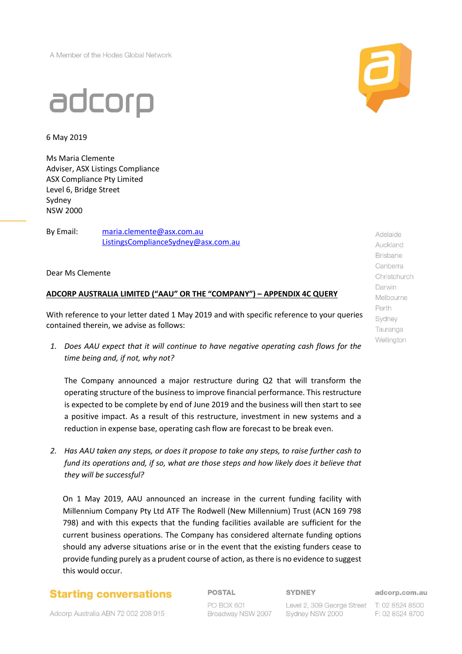A Member of the Hodes Global Network



6 May 2019

Ms Maria Clemente Adviser, ASX Listings Compliance ASX Compliance Pty Limited Level 6, Bridge Street Sydney NSW 2000

By Email: [maria.clemente@asx.com.au](mailto:maria.clemente@asx.com.au) ListingsComplianceSydney@asx.com.au

Dear Ms Clemente

## **ADCORP AUSTRALIA LIMITED ("AAU" OR THE "COMPANY") – APPENDIX 4C QUERY**

With reference to your letter dated 1 May 2019 and with specific reference to your queries contained therein, we advise as follows:

*1. Does AAU expect that it will continue to have negative operating cash flows for the time being and, if not, why not?*

The Company announced a major restructure during Q2 that will transform the operating structure of the business to improve financial performance. This restructure is expected to be complete by end of June 2019 and the business will then start to see a positive impact. As a result of this restructure, investment in new systems and a reduction in expense base, operating cash flow are forecast to be break even.

*2. Has AAU taken any steps, or does it propose to take any steps, to raise further cash to fund its operations and, if so, what are those steps and how likely does it believe that they will be successful?*

On 1 May 2019, AAU announced an increase in the current funding facility with Millennium Company Pty Ltd ATF The Rodwell (New Millennium) Trust (ACN 169 798 798) and with this expects that the funding facilities available are sufficient for the current business operations. The Company has considered alternate funding options should any adverse situations arise or in the event that the existing funders cease to provide funding purely as a prudent course of action, as there is no evidence to suggest this would occur.

## **Starting conversations**

Adcorp Australia ABN 72 002 208 915

**POSTAL** 

PO BOX 601 Broadway NSW 2007

## **SYDNEY**

Sydney NSW 2000

Level 2, 309 George Street T: 02 8524 8500

adcorp.com.au

F: 02 8524 8700



Adelaide Auckland **Brisbane** Canberra Christchurch Darwin Melbourne Perth Sydney Tauranga Wellington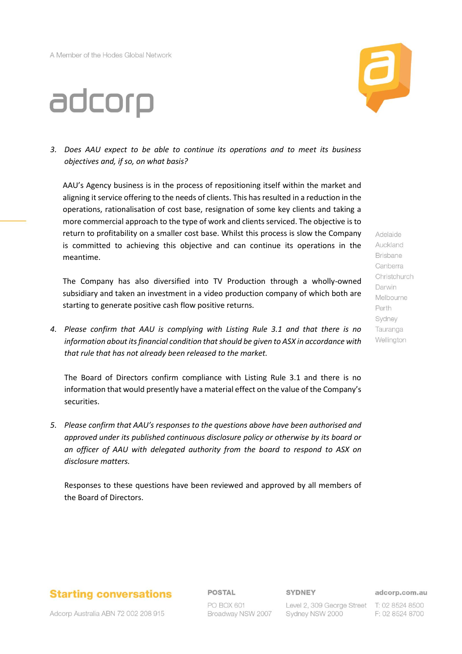# adcorp



*3. Does AAU expect to be able to continue its operations and to meet its business objectives and, if so, on what basis?*

AAU's Agency business is in the process of repositioning itself within the market and aligning it service offering to the needs of clients. This has resulted in a reduction in the operations, rationalisation of cost base, resignation of some key clients and taking a more commercial approach to the type of work and clients serviced. The objective is to return to profitability on a smaller cost base. Whilst this process is slow the Company is committed to achieving this objective and can continue its operations in the meantime.

The Company has also diversified into TV Production through a wholly-owned subsidiary and taken an investment in a video production company of which both are starting to generate positive cash flow positive returns.

*4. Please confirm that AAU is complying with Listing Rule 3.1 and that there is no information about its financial condition that should be given to ASX in accordance with that rule that has not already been released to the market.*

The Board of Directors confirm compliance with Listing Rule 3.1 and there is no information that would presently have a material effect on the value of the Company's securities.

*5. Please confirm that AAU's responses to the questions above have been authorised and approved under its published continuous disclosure policy or otherwise by its board or an officer of AAU with delegated authority from the board to respond to ASX on disclosure matters.*

Responses to these questions have been reviewed and approved by all members of the Board of Directors.

# **Starting conversations**

## **POSTAL**

PO BOX 601 Broadway NSW 2007 **SYDNEY** 

adcorp.com.au

Level 2, 309 George Street T: 02 8524 8500 Sydney NSW 2000

Adelaide Auckland **Brisbane** Canberra Christchurch Darwin Melbourne Perth Sydney Tauranga Wellington

Adcorp Australia ABN 72 002 208 915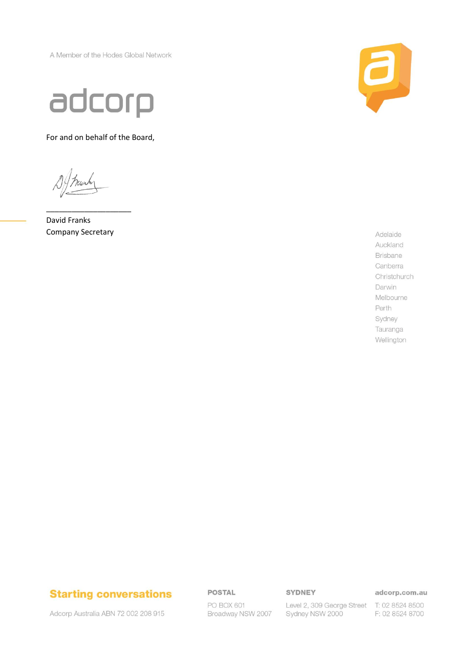A Member of the Hodes Global Network



For and on behalf of the Board,

David Franks **Company Secretary** 



Adelaide Auckland Brisbane Canberra Christchurch Darwin Melbourne Perth Sydney Tauranga Wellington

# **Starting conversations**

Adcorp Australia ABN 72 002 208 915

## **POSTAL**

PO BOX 601 Broadway NSW 2007 **SYDNEY** 

adcorp.com.au

Level 2, 309 George Street T: 02 8524 8500 Sydney NSW 2000

F: 02 8524 8700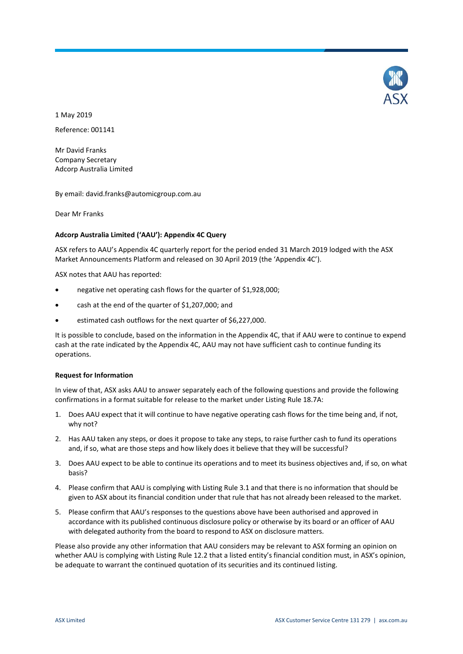

1 May 2019 Reference: 001141

Mr David Franks Company Secretary Adcorp Australia Limited

By email: david.franks@automicgroup.com.au

Dear Mr Franks

### **Adcorp Australia Limited ('AAU'): Appendix 4C Query**

ASX refers to AAU's Appendix 4C quarterly report for the period ended 31 March 2019 lodged with the ASX Market Announcements Platform and released on 30 April 2019 (the 'Appendix 4C').

ASX notes that AAU has reported:

- negative net operating cash flows for the quarter of \$1,928,000;
- cash at the end of the quarter of \$1,207,000; and
- estimated cash outflows for the next quarter of \$6,227,000.

It is possible to conclude, based on the information in the Appendix 4C, that if AAU were to continue to expend cash at the rate indicated by the Appendix 4C, AAU may not have sufficient cash to continue funding its operations.

#### **Request for Information**

In view of that, ASX asks AAU to answer separately each of the following questions and provide the following confirmations in a format suitable for release to the market under Listing Rule 18.7A:

- 1. Does AAU expect that it will continue to have negative operating cash flows for the time being and, if not, why not?
- 2. Has AAU taken any steps, or does it propose to take any steps, to raise further cash to fund its operations and, if so, what are those steps and how likely does it believe that they will be successful?
- 3. Does AAU expect to be able to continue its operations and to meet its business objectives and, if so, on what basis?
- 4. Please confirm that AAU is complying with Listing Rule 3.1 and that there is no information that should be given to ASX about its financial condition under that rule that has not already been released to the market.
- 5. Please confirm that AAU's responses to the questions above have been authorised and approved in accordance with its published continuous disclosure policy or otherwise by its board or an officer of AAU with delegated authority from the board to respond to ASX on disclosure matters.

Please also provide any other information that AAU considers may be relevant to ASX forming an opinion on whether AAU is complying with Listing Rule 12.2 that a listed entity's financial condition must, in ASX's opinion, be adequate to warrant the continued quotation of its securities and its continued listing.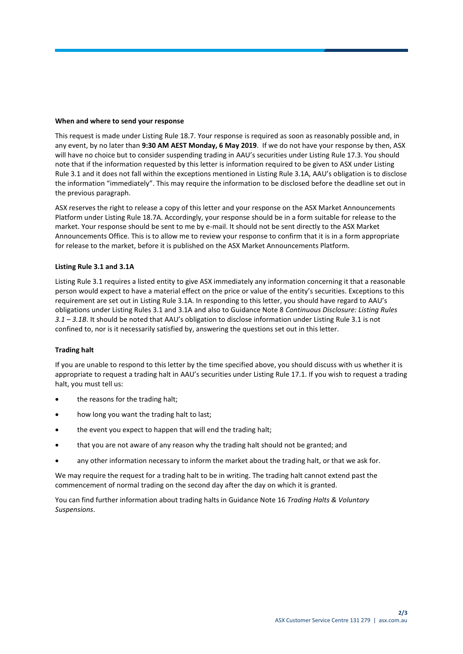#### **When and where to send your response**

This request is made under Listing Rule 18.7. Your response is required as soon as reasonably possible and, in any event, by no later than **9:30 AM AEST Monday, 6 May 2019**. If we do not have your response by then, ASX will have no choice but to consider suspending trading in AAU's securities under Listing Rule 17.3. You should note that if the information requested by this letter is information required to be given to ASX under Listing Rule 3.1 and it does not fall within the exceptions mentioned in Listing Rule 3.1A, AAU's obligation is to disclose the information "immediately". This may require the information to be disclosed before the deadline set out in the previous paragraph.

ASX reserves the right to release a copy of this letter and your response on the ASX Market Announcements Platform under Listing Rule 18.7A. Accordingly, your response should be in a form suitable for release to the market. Your response should be sent to me by e-mail. It should not be sent directly to the ASX Market Announcements Office. This is to allow me to review your response to confirm that it is in a form appropriate for release to the market, before it is published on the ASX Market Announcements Platform.

### **Listing Rule 3.1 and 3.1A**

Listing Rule 3.1 requires a listed entity to give ASX immediately any information concerning it that a reasonable person would expect to have a material effect on the price or value of the entity's securities. Exceptions to this requirement are set out in Listing Rule 3.1A. In responding to this letter, you should have regard to AAU's obligations under Listing Rules 3.1 and 3.1A and also to Guidance Note 8 *Continuous Disclosure: Listing Rules 3.1 – 3.1B*. It should be noted that AAU's obligation to disclose information under Listing Rule 3.1 is not confined to, nor is it necessarily satisfied by, answering the questions set out in this letter.

### **Trading halt**

If you are unable to respond to this letter by the time specified above, you should discuss with us whether it is appropriate to request a trading halt in AAU's securities under Listing Rule 17.1. If you wish to request a trading halt, you must tell us:

- the reasons for the trading halt;
- how long you want the trading halt to last;
- the event you expect to happen that will end the trading halt;
- that you are not aware of any reason why the trading halt should not be granted; and
- any other information necessary to inform the market about the trading halt, or that we ask for.

We may require the request for a trading halt to be in writing. The trading halt cannot extend past the commencement of normal trading on the second day after the day on which it is granted.

You can find further information about trading halts in Guidance Note 16 *Trading Halts & Voluntary Suspensions*.